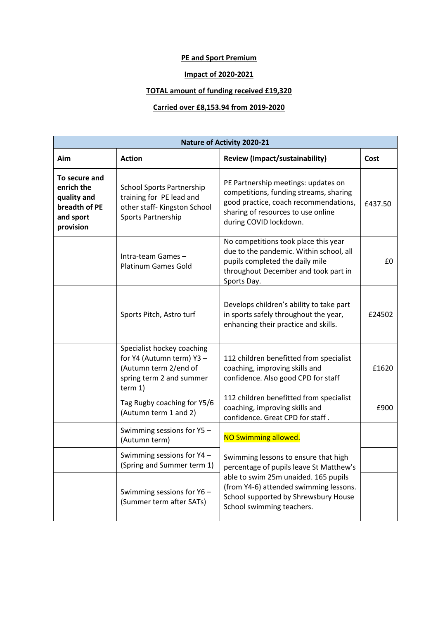## **PE and Sport Premium**

## **Impact of 2020-2021**

## **TOTAL amount of funding received £19,320**

## **Carried over £8,153.94 from 2019-2020**

| <b>Nature of Activity 2020-21</b>                                                     |                                                                                                                          |                                                                                                                                                                                        |         |  |  |
|---------------------------------------------------------------------------------------|--------------------------------------------------------------------------------------------------------------------------|----------------------------------------------------------------------------------------------------------------------------------------------------------------------------------------|---------|--|--|
| Aim                                                                                   | <b>Action</b>                                                                                                            | <b>Review (Impact/sustainability)</b>                                                                                                                                                  | Cost    |  |  |
| To secure and<br>enrich the<br>quality and<br>breadth of PE<br>and sport<br>provision | <b>School Sports Partnership</b><br>training for PE lead and<br>other staff-Kingston School<br><b>Sports Partnership</b> | PE Partnership meetings: updates on<br>competitions, funding streams, sharing<br>good practice, coach recommendations,<br>sharing of resources to use online<br>during COVID lockdown. | £437.50 |  |  |
|                                                                                       | Intra-team Games-<br><b>Platinum Games Gold</b>                                                                          | No competitions took place this year<br>due to the pandemic. Within school, all<br>pupils completed the daily mile<br>throughout December and took part in<br>Sports Day.              | £0      |  |  |
|                                                                                       | Sports Pitch, Astro turf                                                                                                 | Develops children's ability to take part<br>in sports safely throughout the year,<br>enhancing their practice and skills.                                                              | £24502  |  |  |
|                                                                                       | Specialist hockey coaching<br>for Y4 (Autumn term) Y3 -<br>(Autumn term 2/end of<br>spring term 2 and summer<br>term 1)  | 112 children benefitted from specialist<br>coaching, improving skills and<br>confidence. Also good CPD for staff                                                                       | £1620   |  |  |
|                                                                                       | Tag Rugby coaching for Y5/6<br>(Autumn term 1 and 2)                                                                     | 112 children benefitted from specialist<br>coaching, improving skills and<br>confidence. Great CPD for staff.                                                                          | £900    |  |  |
|                                                                                       | Swimming sessions for Y5 -<br>(Autumn term)                                                                              | NO Swimming allowed.                                                                                                                                                                   |         |  |  |
|                                                                                       | Swimming sessions for Y4 -<br>(Spring and Summer term 1)                                                                 | Swimming lessons to ensure that high<br>percentage of pupils leave St Matthew's                                                                                                        |         |  |  |
|                                                                                       | Swimming sessions for Y6 -<br>(Summer term after SATs)                                                                   | able to swim 25m unaided. 165 pupils<br>(from Y4-6) attended swimming lessons.<br>School supported by Shrewsbury House<br>School swimming teachers.                                    |         |  |  |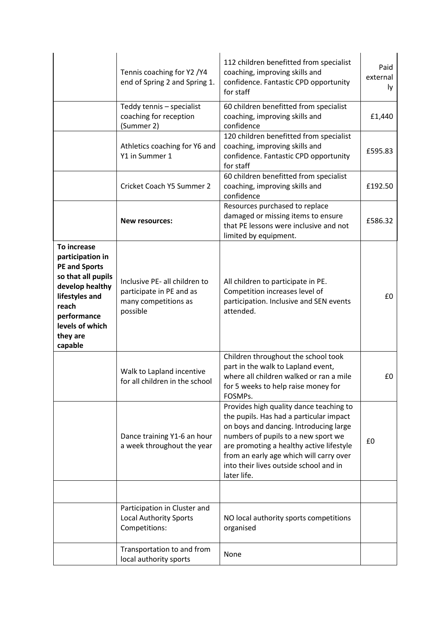|                                                                                                                                                                                      | Tennis coaching for Y2 / Y4<br>end of Spring 2 and Spring 1.                                  | 112 children benefitted from specialist<br>coaching, improving skills and<br>confidence. Fantastic CPD opportunity<br>for staff                                                                                                                                                                                     | Paid<br>external<br>ly. |
|--------------------------------------------------------------------------------------------------------------------------------------------------------------------------------------|-----------------------------------------------------------------------------------------------|---------------------------------------------------------------------------------------------------------------------------------------------------------------------------------------------------------------------------------------------------------------------------------------------------------------------|-------------------------|
|                                                                                                                                                                                      | Teddy tennis - specialist<br>coaching for reception<br>(Summer 2)                             | 60 children benefitted from specialist<br>coaching, improving skills and<br>confidence                                                                                                                                                                                                                              | £1,440                  |
|                                                                                                                                                                                      | Athletics coaching for Y6 and<br>Y1 in Summer 1                                               | 120 children benefitted from specialist<br>coaching, improving skills and<br>confidence. Fantastic CPD opportunity<br>for staff                                                                                                                                                                                     | £595.83                 |
|                                                                                                                                                                                      | Cricket Coach Y5 Summer 2                                                                     | 60 children benefitted from specialist<br>coaching, improving skills and<br>confidence                                                                                                                                                                                                                              | £192.50                 |
|                                                                                                                                                                                      | <b>New resources:</b>                                                                         | Resources purchased to replace<br>damaged or missing items to ensure<br>that PE lessons were inclusive and not<br>limited by equipment.                                                                                                                                                                             | £586.32                 |
| To increase<br>participation in<br><b>PE and Sports</b><br>so that all pupils<br>develop healthy<br>lifestyles and<br>reach<br>performance<br>levels of which<br>they are<br>capable | Inclusive PE- all children to<br>participate in PE and as<br>many competitions as<br>possible | All children to participate in PE.<br>Competition increases level of<br>participation. Inclusive and SEN events<br>attended.                                                                                                                                                                                        | £0                      |
|                                                                                                                                                                                      | Walk to Lapland incentive<br>for all children in the school                                   | Children throughout the school took<br>part in the walk to Lapland event,<br>where all children walked or ran a mile<br>for 5 weeks to help raise money for<br>FOSMPs.                                                                                                                                              | £0                      |
|                                                                                                                                                                                      | Dance training Y1-6 an hour<br>a week throughout the year                                     | Provides high quality dance teaching to<br>the pupils. Has had a particular impact<br>on boys and dancing. Introducing large<br>numbers of pupils to a new sport we<br>are promoting a healthy active lifestyle<br>from an early age which will carry over<br>into their lives outside school and in<br>later life. | £0                      |
|                                                                                                                                                                                      |                                                                                               |                                                                                                                                                                                                                                                                                                                     |                         |
|                                                                                                                                                                                      | Participation in Cluster and<br>Local Authority Sports<br>Competitions:                       | NO local authority sports competitions<br>organised                                                                                                                                                                                                                                                                 |                         |
|                                                                                                                                                                                      | Transportation to and from<br>local authority sports                                          | None                                                                                                                                                                                                                                                                                                                |                         |